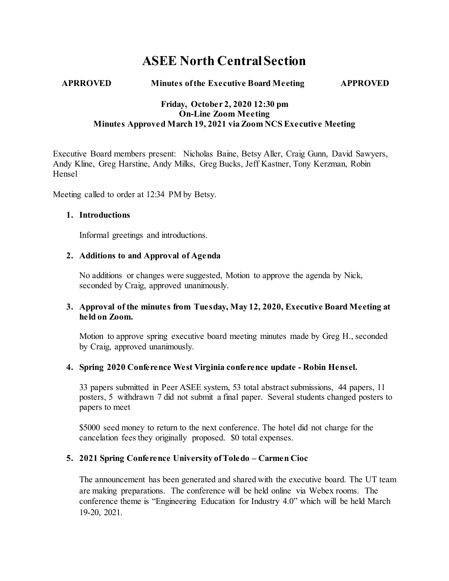# **ASEE North Central Section**

#### **APRROVED Minutes of the Executive Board Meeting APPROVED**

#### **Friday, October 2, 2020 12:30 pm On-Line Zoom Meeting Minutes Approved March 19, 2021 via Zoom NCS Executive Meeting**

Executive Board members present: Nicholas Baine, Betsy Aller, Craig Gunn, David Sawyers, Andy Kline, Greg Harstine, Andy Milks, Greg Bucks, Jeff Kastner, Tony Kerzman, Robin Hensel

Meeting called to order at 12:34 PM by Betsy.

#### **1. Introductions**

Informal greetings and introductions.

#### **2. Additions to and Approval of Agenda**

No additions or changes were suggested, Motion to approve the agenda by Nick, seconded by Craig, approved unanimously.

#### **3. Approval of the minutes from Tuesday, May 12, 2020, Executive Board Meeting at held on Zoom.**

Motion to approve spring executive board meeting minutes made by Greg H., seconded by Craig, approved unanimously.

#### **4. Spring 2020 Conference West Virginia conference update - Robin Hensel.**

33 papers submitted in Peer ASEE system, 53 total abstract submissions, 44 papers, 11 posters, 5 withdrawn 7 did not submit a final paper. Several students changed posters to papers to meet

\$5000 seed money to return to the next conference. The hotel did not charge for the cancelation fees they originally proposed. \$0 total expenses.

#### **5. 2021 Spring Conference University of Toledo – Carmen Cioc**

The announcement has been generated and shared with the executive board. The UT team are making preparations. The conference will be held online via Webex rooms. The conference theme is "Engineering Education for Industry 4.0" which will be held March 19-20, 2021.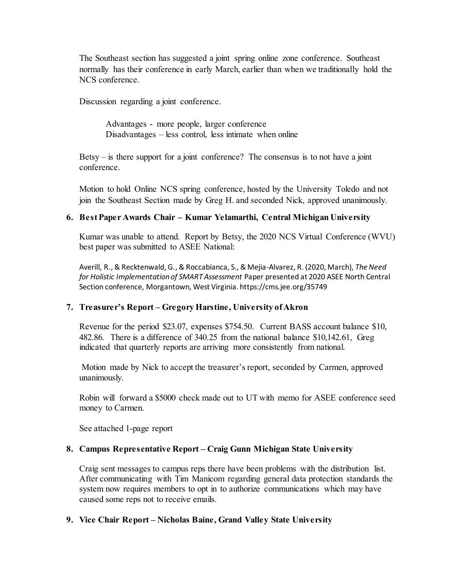The Southeast section has suggested a joint spring online zone conference. Southeast normally has their conference in early March, earlier than when we traditionally hold the NCS conference.

Discussion regarding a joint conference.

Advantages - more people, larger conference Disadvantages – less control, less intimate when online

Betsy – is there support for a joint conference? The consensus is to not have a joint conference.

Motion to hold Online NCS spring conference, hosted by the University Toledo and not join the Southeast Section made by Greg H. and seconded Nick, approved unanimously.

### **6. Best Paper Awards Chair – Kumar Yelamarthi, Central Michigan University**

Kumar was unable to attend. Report by Betsy, the 2020 NCS Virtual Conference (WVU) best paper was submitted to ASEE National:

Averill, R., & Recktenwald, G., & Roccabianca, S., & Mejia-Alvarez, R. (2020, March), *The Need for Holistic Implementation of SMART Assessment* Paper presented at 2020 ASEE North Central Section conference, Morgantown, West Virginia. https://cms.jee.org/35749

#### **7. Treasurer's Report – Gregory Harstine, University of Akron**

Revenue for the period \$23.07, expenses \$754.50. Current BASS account balance \$10, 482.86. There is a difference of 340.25 from the national balance \$10,142.61, Greg indicated that quarterly reports are arriving more consistently from national.

Motion made by Nick to accept the treasurer's report, seconded by Carmen, approved unanimously.

Robin will forward a \$5000 check made out to UT with memo for ASEE conference seed money to Carmen.

See attached 1-page report

#### **8. Campus Representative Report – Craig Gunn Michigan State University**

Craig sent messages to campus reps there have been problems with the distribution list. After communicating with Tim Manicom regarding general data protection standards the system now requires members to opt in to authorize communications which may have caused some reps not to receive emails.

#### **9. Vice Chair Report – Nicholas Baine, Grand Valley State University**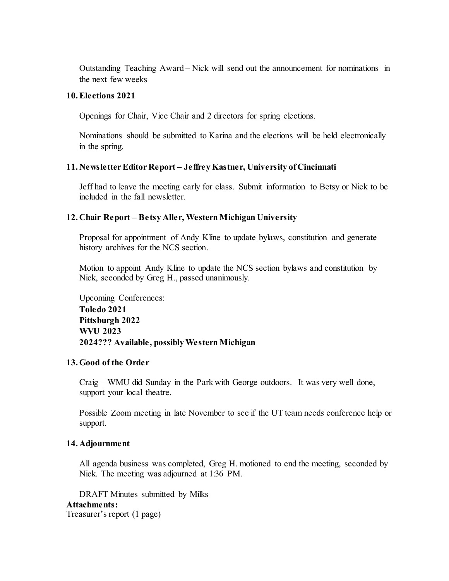Outstanding Teaching Award – Nick will send out the announcement for nominations in the next few weeks

#### **10.Elections 2021**

Openings for Chair, Vice Chair and 2 directors for spring elections.

Nominations should be submitted to Karina and the elections will be held electronically in the spring.

#### **11. Newsletter Editor Report – Jeffrey Kastner, University of Cincinnati**

Jeff had to leave the meeting early for class. Submit information to Betsy or Nick to be included in the fall newsletter.

#### **12. Chair Report – Betsy Aller, Western Michigan University**

Proposal for appointment of Andy Kline to update bylaws, constitution and generate history archives for the NCS section.

Motion to appoint Andy Kline to update the NCS section bylaws and constitution by Nick, seconded by Greg H., passed unanimously.

Upcoming Conferences: **Toledo 2021 Pittsburgh 2022 WVU 2023 2024??? Available, possibly Western Michigan**

#### **13.Good of the Order**

Craig – WMU did Sunday in the Park with George outdoors. It was very well done, support your local theatre.

Possible Zoom meeting in late November to see if the UT team needs conference help or support.

#### **14. Adjournment**

All agenda business was completed, Greg H. motioned to end the meeting, seconded by Nick. The meeting was adjourned at 1:36 PM.

DRAFT Minutes submitted by Milks

#### **Attachments:**

Treasurer's report (1 page)